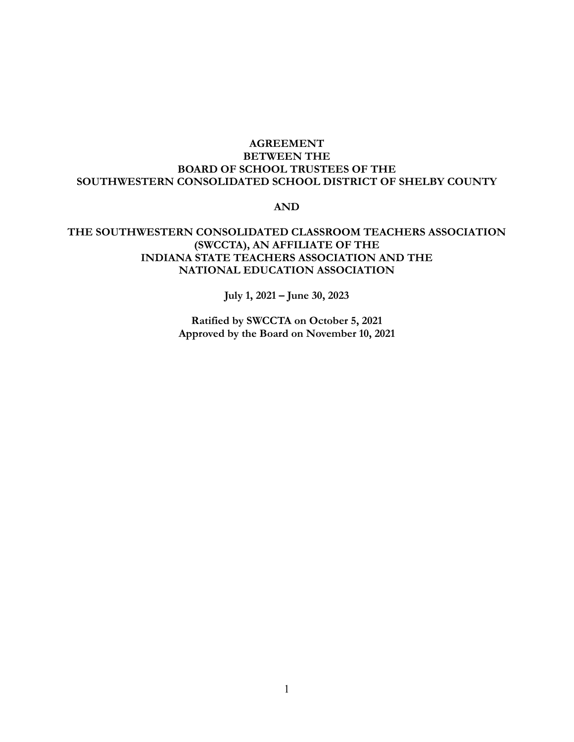## **AGREEMENT BETWEEN THE BOARD OF SCHOOL TRUSTEES OF THE SOUTHWESTERN CONSOLIDATED SCHOOL DISTRICT OF SHELBY COUNTY**

### **AND**

## **THE SOUTHWESTERN CONSOLIDATED CLASSROOM TEACHERS ASSOCIATION (SWCCTA), AN AFFILIATE OF THE INDIANA STATE TEACHERS ASSOCIATION AND THE NATIONAL EDUCATION ASSOCIATION**

**July 1, 2021 – June 30, 2023**

**Ratified by SWCCTA on October 5, 2021 Approved by the Board on November 10, 2021**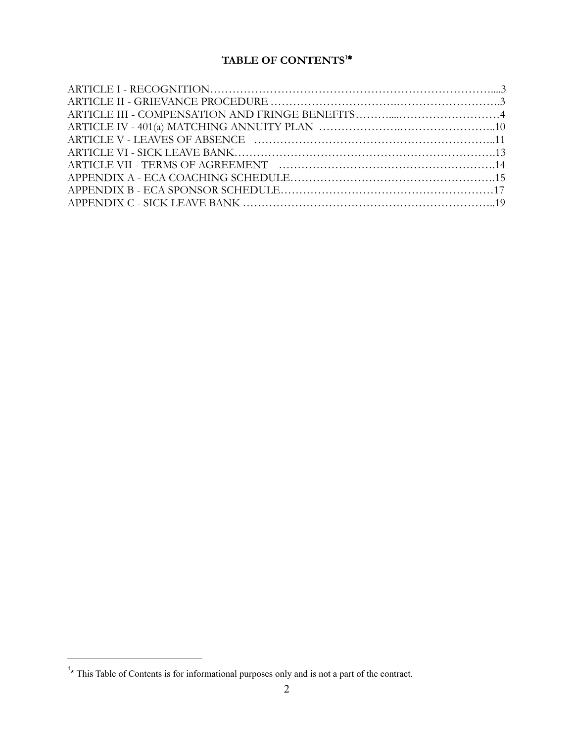# **TABLE OF CONTENTS<sup>1</sup>\***

<sup>&</sup>lt;sup>1</sup>\* This Table of Contents is for informational purposes only and is not a part of the contract.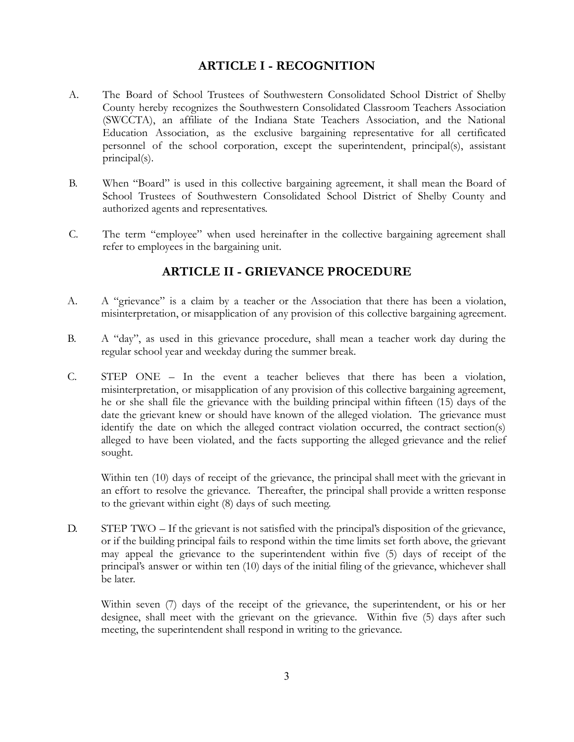## **ARTICLE I - RECOGNITION**

- A. The Board of School Trustees of Southwestern Consolidated School District of Shelby County hereby recognizes the Southwestern Consolidated Classroom Teachers Association (SWCCTA), an affiliate of the Indiana State Teachers Association, and the National Education Association, as the exclusive bargaining representative for all certificated personnel of the school corporation, except the superintendent, principal(s), assistant principal(s).
- B. When "Board" is used in this collective bargaining agreement, it shall mean the Board of School Trustees of Southwestern Consolidated School District of Shelby County and authorized agents and representatives.
- C. The term "employee" when used hereinafter in the collective bargaining agreement shall refer to employees in the bargaining unit.

# **ARTICLE II - GRIEVANCE PROCEDURE**

- A. A "grievance" is a claim by a teacher or the Association that there has been a violation, misinterpretation, or misapplication of any provision of this collective bargaining agreement.
- B. A "day", as used in this grievance procedure, shall mean a teacher work day during the regular school year and weekday during the summer break.
- C. STEP ONE In the event a teacher believes that there has been a violation, misinterpretation, or misapplication of any provision of this collective bargaining agreement, he or she shall file the grievance with the building principal within fifteen (15) days of the date the grievant knew or should have known of the alleged violation. The grievance must identify the date on which the alleged contract violation occurred, the contract section(s) alleged to have been violated, and the facts supporting the alleged grievance and the relief sought.

Within ten (10) days of receipt of the grievance, the principal shall meet with the grievant in an effort to resolve the grievance. Thereafter, the principal shall provide a written response to the grievant within eight (8) days of such meeting.

D. STEP TWO – If the grievant is not satisfied with the principal's disposition of the grievance, or if the building principal fails to respond within the time limits set forth above, the grievant may appeal the grievance to the superintendent within five (5) days of receipt of the principal's answer or within ten (10) days of the initial filing of the grievance, whichever shall be later.

Within seven (7) days of the receipt of the grievance, the superintendent, or his or her designee, shall meet with the grievant on the grievance. Within five (5) days after such meeting, the superintendent shall respond in writing to the grievance.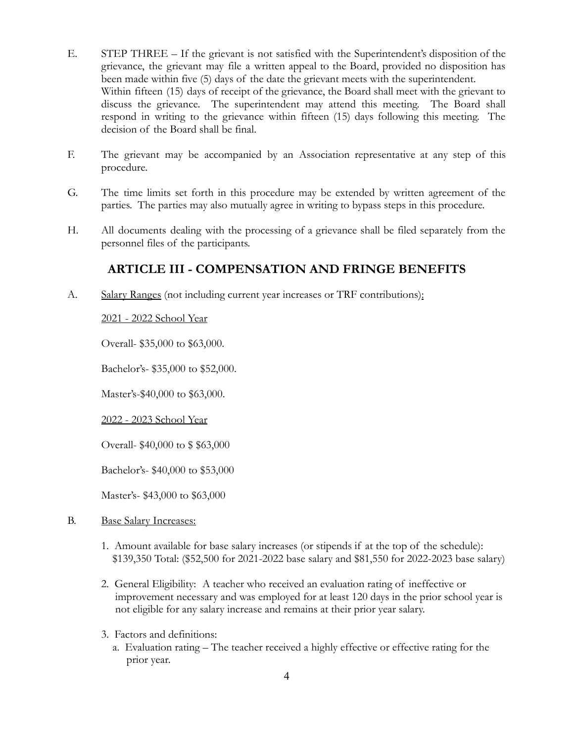- E. STEP THREE If the grievant is not satisfied with the Superintendent's disposition of the grievance, the grievant may file a written appeal to the Board, provided no disposition has been made within five (5) days of the date the grievant meets with the superintendent. Within fifteen (15) days of receipt of the grievance, the Board shall meet with the grievant to discuss the grievance. The superintendent may attend this meeting. The Board shall respond in writing to the grievance within fifteen (15) days following this meeting. The decision of the Board shall be final.
- F. The grievant may be accompanied by an Association representative at any step of this procedure.
- G. The time limits set forth in this procedure may be extended by written agreement of the parties. The parties may also mutually agree in writing to bypass steps in this procedure.
- H. All documents dealing with the processing of a grievance shall be filed separately from the personnel files of the participants.

## **ARTICLE III - COMPENSATION AND FRINGE BENEFITS**

A. Salary Ranges (not including current year increases or TRF contributions):

## 2021 - 2022 School Year

Overall- \$35,000 to \$63,000.

Bachelor's- \$35,000 to \$52,000.

Master's-\$40,000 to \$63,000.

2022 - 2023 School Year

Overall- \$40,000 to \$ \$63,000

Bachelor's- \$40,000 to \$53,000

Master's- \$43,000 to \$63,000

## B. Base Salary Increases:

- 1. Amount available for base salary increases (or stipends if at the top of the schedule): \$139,350 Total: (\$52,500 for 2021-2022 base salary and \$81,550 for 2022-2023 base salary)
- 2. General Eligibility: A teacher who received an evaluation rating of ineffective or improvement necessary and was employed for at least 120 days in the prior school year is not eligible for any salary increase and remains at their prior year salary.
- 3. Factors and definitions:
	- a. Evaluation rating The teacher received a highly effective or effective rating for the prior year.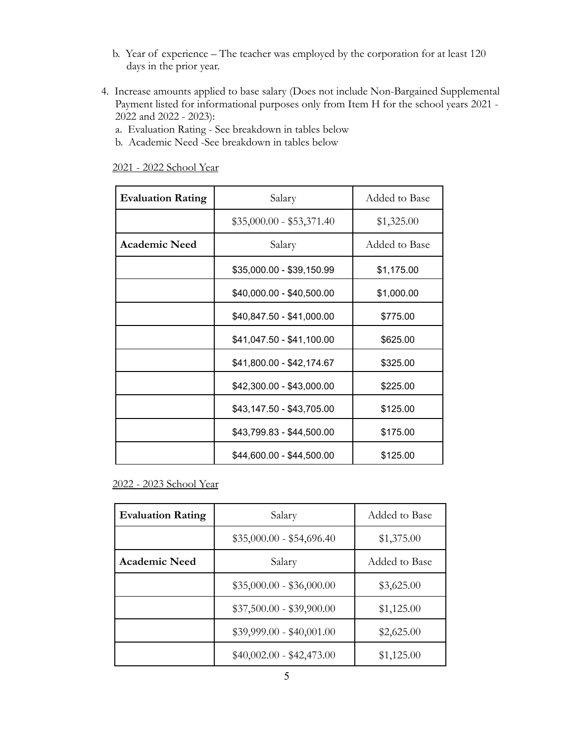- b. Year of experience The teacher was employed by the corporation for at least 120 days in the prior year.
- 4. Increase amounts applied to base salary (Does not include Non-Bargained Supplemental Payment listed for informational purposes only from Item H for the school years 2021 - 2022 and 2022 - 2023):
	- a. Evaluation Rating See breakdown in tables below
	- b. Academic Need -See breakdown in tables below

2021 - 2022 School Year

| <b>Evaluation Rating</b> | Salary                    | Added to Base |
|--------------------------|---------------------------|---------------|
|                          | $$35,000.00 - $53,371.40$ | \$1,325.00    |
| <b>Academic Need</b>     | Salary                    | Added to Base |
|                          | \$35,000.00 - \$39,150.99 | \$1,175.00    |
|                          | \$40,000.00 - \$40,500.00 | \$1,000.00    |
|                          | \$40,847.50 - \$41,000.00 | \$775.00      |
|                          | \$41,047.50 - \$41,100.00 | \$625.00      |
|                          | \$41,800.00 - \$42,174.67 | \$325.00      |
|                          | \$42,300.00 - \$43,000.00 | \$225.00      |
|                          | \$43,147.50 - \$43,705.00 | \$125.00      |
|                          | \$43,799.83 - \$44,500.00 | \$175.00      |
|                          | \$44,600.00 - \$44,500.00 | \$125.00      |

2022 - 2023 School Year

| <b>Evaluation Rating</b> | Salary                    | Added to Base |
|--------------------------|---------------------------|---------------|
|                          | $$35,000.00 - $54,696.40$ | \$1,375.00    |
| <b>Academic Need</b>     | Salary                    | Added to Base |
|                          | $$35,000.00 - $36,000.00$ | \$3,625.00    |
|                          | $$37,500.00 - $39,900.00$ | \$1,125.00    |
|                          | $$39,999.00 - $40,001.00$ | \$2,625.00    |
|                          | $$40,002.00 - $42,473.00$ | \$1,125.00    |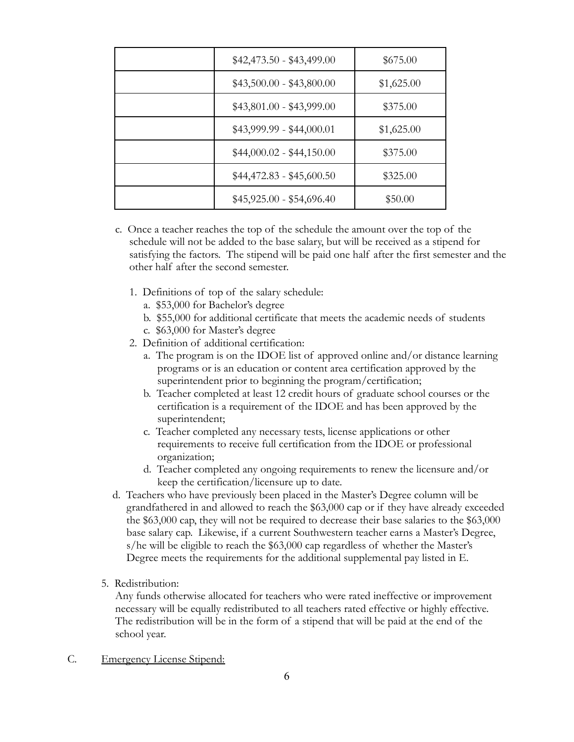| $$42,473.50 - $43,499.00$ | \$675.00   |
|---------------------------|------------|
| $$43,500.00 - $43,800.00$ | \$1,625.00 |
| $$43,801.00 - $43,999.00$ | \$375.00   |
| $$43,999.99 - $44,000.01$ | \$1,625.00 |
| $$44,000.02 - $44,150.00$ | \$375.00   |
| $$44,472.83 - $45,600.50$ | \$325.00   |
| $$45,925.00 - $54,696.40$ | \$50.00    |

- c. Once a teacher reaches the top of the schedule the amount over the top of the schedule will not be added to the base salary, but will be received as a stipend for satisfying the factors. The stipend will be paid one half after the first semester and the other half after the second semester.
	- 1. Definitions of top of the salary schedule:
		- a. \$53,000 for Bachelor's degree
		- b. \$55,000 for additional certificate that meets the academic needs of students
		- c. \$63,000 for Master's degree
	- 2. Definition of additional certification:
		- a. The program is on the IDOE list of approved online and/or distance learning programs or is an education or content area certification approved by the superintendent prior to beginning the program/certification;
		- b. Teacher completed at least 12 credit hours of graduate school courses or the certification is a requirement of the IDOE and has been approved by the superintendent;
		- c. Teacher completed any necessary tests, license applications or other requirements to receive full certification from the IDOE or professional organization;
		- d. Teacher completed any ongoing requirements to renew the licensure and/or keep the certification/licensure up to date.
- d. Teachers who have previously been placed in the Master's Degree column will be grandfathered in and allowed to reach the \$63,000 cap or if they have already exceeded the \$63,000 cap, they will not be required to decrease their base salaries to the \$63,000 base salary cap. Likewise, if a current Southwestern teacher earns a Master's Degree, s/he will be eligible to reach the \$63,000 cap regardless of whether the Master's Degree meets the requirements for the additional supplemental pay listed in E.
- 5. Redistribution:

Any funds otherwise allocated for teachers who were rated ineffective or improvement necessary will be equally redistributed to all teachers rated effective or highly effective. The redistribution will be in the form of a stipend that will be paid at the end of the school year.

C. Emergency License Stipend: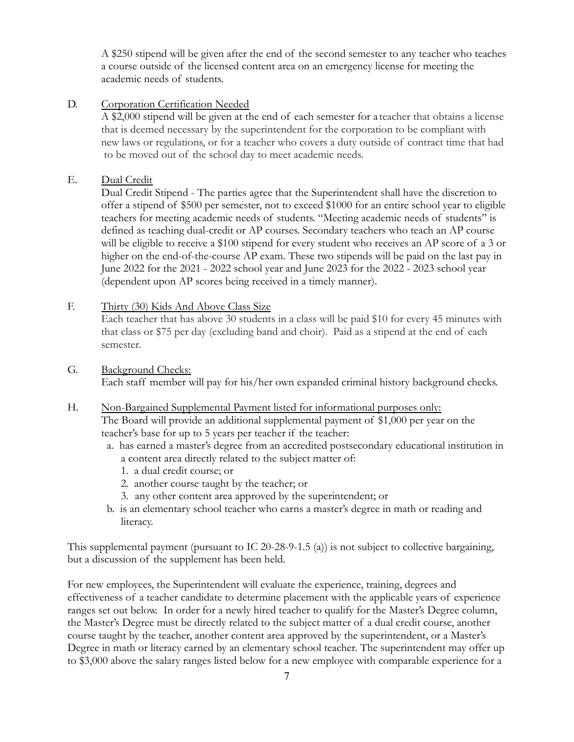A \$250 stipend will be given after the end of the second semester to any teacher who teaches a course outside of the licensed content area on an emergency license for meeting the academic needs of students.

## D. Corporation Certification Needed

A \$2,000 stipend will be given at the end of each semester for a teacher that obtains a license that is deemed necessary by the superintendent for the corporation to be compliant with new laws or regulations, or for a teacher who covers a duty outside of contract time that had to be moved out of the school day to meet academic needs.

## E. Dual Credit

Dual Credit Stipend - The parties agree that the Superintendent shall have the discretion to offer a stipend of \$500 per semester, not to exceed \$1000 for an entire school year to eligible teachers for meeting academic needs of students. "Meeting academic needs of students" is defined as teaching dual-credit or AP courses. Secondary teachers who teach an AP course will be eligible to receive a \$100 stipend for every student who receives an AP score of a 3 or higher on the end-of-the-course AP exam. These two stipends will be paid on the last pay in June 2022 for the 2021 - 2022 school year and June 2023 for the 2022 - 2023 school year (dependent upon AP scores being received in a timely manner).

## F. Thirty (30) Kids And Above Class Size

Each teacher that has above 30 students in a class will be paid \$10 for every 45 minutes with that class or \$75 per day (excluding band and choir). Paid as a stipend at the end of each semester.

## G. Background Checks: Each staff member will pay for his/her own expanded criminal history background checks.

- H. Non-Bargained Supplemental Payment listed for informational purposes only: The Board will provide an additional supplemental payment of \$1,000 per year on the teacher's base for up to 5 years per teacher if the teacher:
	- a. has earned a master's degree from an accredited postsecondary educational institution in a content area directly related to the subject matter of:
		- 1. a dual credit course; or
		- 2. another course taught by the teacher; or
		- 3. any other content area approved by the superintendent; or
	- b. is an elementary school teacher who earns a master's degree in math or reading and literacy.

This supplemental payment (pursuant to IC 20-28-9-1.5 (a)) is not subject to collective bargaining, but a discussion of the supplement has been held.

For new employees, the Superintendent will evaluate the experience, training, degrees and effectiveness of a teacher candidate to determine placement with the applicable years of experience ranges set out below. In order for a newly hired teacher to qualify for the Master's Degree column, the Master's Degree must be directly related to the subject matter of a dual credit course, another course taught by the teacher, another content area approved by the superintendent, or a Master's Degree in math or literacy earned by an elementary school teacher. The superintendent may offer up to \$3,000 above the salary ranges listed below for a new employee with comparable experience for a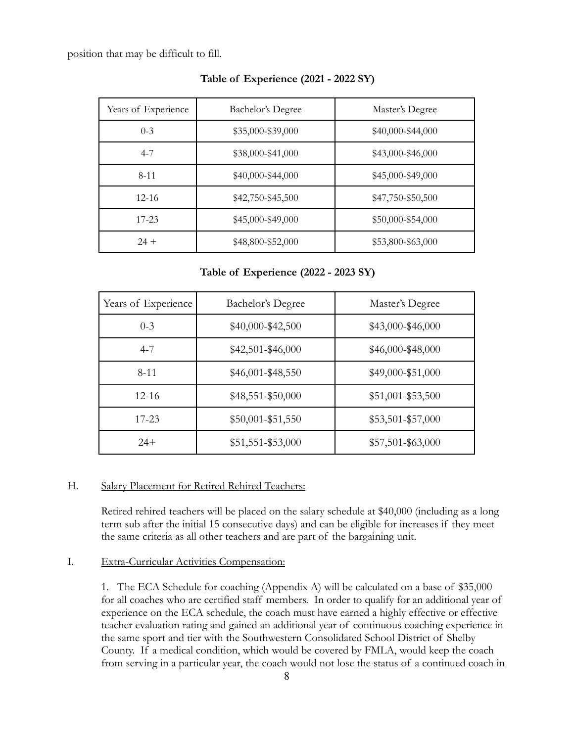position that may be difficult to fill.

| Years of Experience | Bachelor's Degree | Master's Degree   |
|---------------------|-------------------|-------------------|
| $0 - 3$             | \$35,000-\$39,000 | \$40,000-\$44,000 |
| $4 - 7$             | \$38,000-\$41,000 | \$43,000-\$46,000 |
| $8 - 11$            | \$40,000-\$44,000 | \$45,000-\$49,000 |
| $12 - 16$           | \$42,750-\$45,500 | \$47,750-\$50,500 |
| $17 - 23$           | \$45,000-\$49,000 | \$50,000-\$54,000 |
| $24 +$              | \$48,800-\$52,000 | \$53,800-\$63,000 |

#### **Table of Experience (2021 - 2022 SY)**

#### **Table of Experience (2022 - 2023 SY)**

| Years of Experience | <b>Bachelor's Degree</b> | Master's Degree     |
|---------------------|--------------------------|---------------------|
| $0 - 3$             | \$40,000-\$42,500        | \$43,000-\$46,000   |
| $4 - 7$             | \$42,501-\$46,000        | \$46,000-\$48,000   |
| $8 - 11$            | $$46,001 - $48,550$      | \$49,000-\$51,000   |
| $12 - 16$           | \$48,551-\$50,000        | \$51,001-\$53,500   |
| $17 - 23$           | $$50,001 - $51,550$      | $$53,501 - $57,000$ |
| $24+$               | \$51,551-\$53,000        | \$57,501-\$63,000   |

#### H. Salary Placement for Retired Rehired Teachers:

Retired rehired teachers will be placed on the salary schedule at \$40,000 (including as a long term sub after the initial 15 consecutive days) and can be eligible for increases if they meet the same criteria as all other teachers and are part of the bargaining unit.

### I. Extra-Curricular Activities Compensation:

1. The ECA Schedule for coaching (Appendix A) will be calculated on a base of \$35,000 for all coaches who are certified staff members. In order to qualify for an additional year of experience on the ECA schedule, the coach must have earned a highly effective or effective teacher evaluation rating and gained an additional year of continuous coaching experience in the same sport and tier with the Southwestern Consolidated School District of Shelby County. If a medical condition, which would be covered by FMLA, would keep the coach from serving in a particular year, the coach would not lose the status of a continued coach in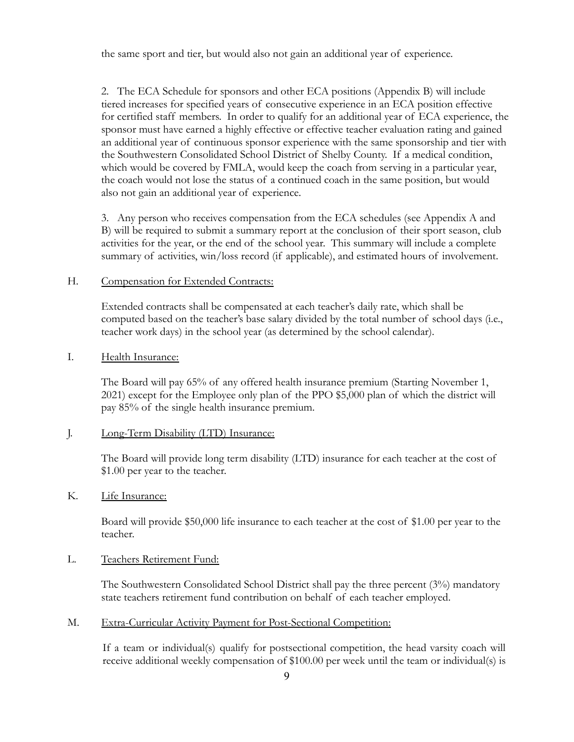the same sport and tier, but would also not gain an additional year of experience.

2. The ECA Schedule for sponsors and other ECA positions (Appendix B) will include tiered increases for specified years of consecutive experience in an ECA position effective for certified staff members. In order to qualify for an additional year of ECA experience, the sponsor must have earned a highly effective or effective teacher evaluation rating and gained an additional year of continuous sponsor experience with the same sponsorship and tier with the Southwestern Consolidated School District of Shelby County. If a medical condition, which would be covered by FMLA, would keep the coach from serving in a particular year, the coach would not lose the status of a continued coach in the same position, but would also not gain an additional year of experience.

3. Any person who receives compensation from the ECA schedules (see Appendix A and B) will be required to submit a summary report at the conclusion of their sport season, club activities for the year, or the end of the school year. This summary will include a complete summary of activities, win/loss record (if applicable), and estimated hours of involvement.

### H. Compensation for Extended Contracts:

Extended contracts shall be compensated at each teacher's daily rate, which shall be computed based on the teacher's base salary divided by the total number of school days (i.e., teacher work days) in the school year (as determined by the school calendar).

### I. Health Insurance:

The Board will pay 65% of any offered health insurance premium (Starting November 1, 2021) except for the Employee only plan of the PPO \$5,000 plan of which the district will pay 85% of the single health insurance premium.

### J. Long-Term Disability (LTD) Insurance:

The Board will provide long term disability (LTD) insurance for each teacher at the cost of \$1.00 per year to the teacher.

### K. Life Insurance:

Board will provide \$50,000 life insurance to each teacher at the cost of \$1.00 per year to the teacher.

### L. Teachers Retirement Fund:

The Southwestern Consolidated School District shall pay the three percent  $(3%)$  mandatory state teachers retirement fund contribution on behalf of each teacher employed.

M. Extra-Curricular Activity Payment for Post-Sectional Competition:

If a team or individual(s) qualify for postsectional competition, the head varsity coach will receive additional weekly compensation of \$100.00 per week until the team or individual(s) is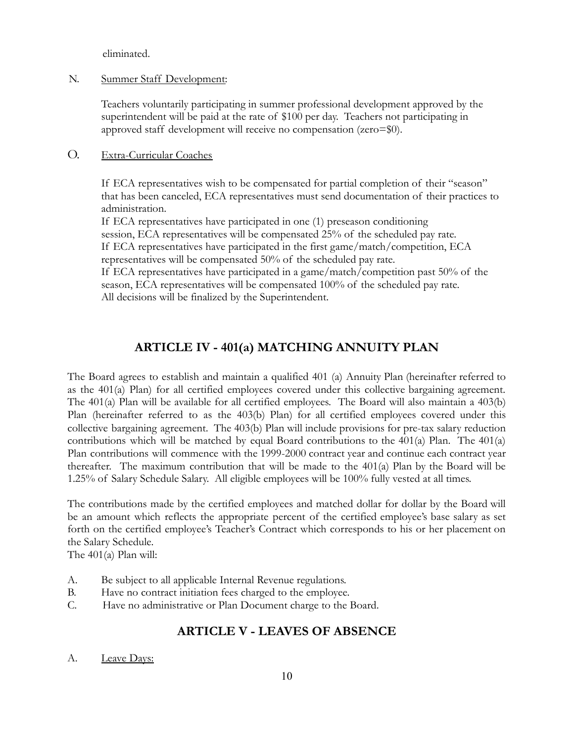eliminated.

## N. Summer Staff Development:

Teachers voluntarily participating in summer professional development approved by the superintendent will be paid at the rate of \$100 per day. Teachers not participating in approved staff development will receive no compensation (zero=\$0).

## O. Extra-Curricular Coaches

If ECA representatives wish to be compensated for partial completion of their "season" that has been canceled, ECA representatives must send documentation of their practices to administration.

If ECA representatives have participated in one (1) preseason conditioning session, ECA representatives will be compensated 25% of the scheduled pay rate. If ECA representatives have participated in the first game/match/competition, ECA representatives will be compensated 50% of the scheduled pay rate.

If ECA representatives have participated in a game/match/competition past 50% of the season, ECA representatives will be compensated 100% of the scheduled pay rate. All decisions will be finalized by the Superintendent.

# **ARTICLE IV - 401(a) MATCHING ANNUITY PLAN**

The Board agrees to establish and maintain a qualified 401 (a) Annuity Plan (hereinafter referred to as the 401(a) Plan) for all certified employees covered under this collective bargaining agreement. The 401(a) Plan will be available for all certified employees. The Board will also maintain a 403(b) Plan (hereinafter referred to as the 403(b) Plan) for all certified employees covered under this collective bargaining agreement. The 403(b) Plan will include provisions for pre-tax salary reduction contributions which will be matched by equal Board contributions to the 401(a) Plan. The 401(a) Plan contributions will commence with the 1999-2000 contract year and continue each contract year thereafter. The maximum contribution that will be made to the 401(a) Plan by the Board will be 1.25% of Salary Schedule Salary. All eligible employees will be 100% fully vested at all times.

The contributions made by the certified employees and matched dollar for dollar by the Board will be an amount which reflects the appropriate percent of the certified employee's base salary as set forth on the certified employee's Teacher's Contract which corresponds to his or her placement on the Salary Schedule.

The 401(a) Plan will:

- A. Be subject to all applicable Internal Revenue regulations.
- B. Have no contract initiation fees charged to the employee.
- C. Have no administrative or Plan Document charge to the Board.

## **ARTICLE V - LEAVES OF ABSENCE**

A. Leave Days: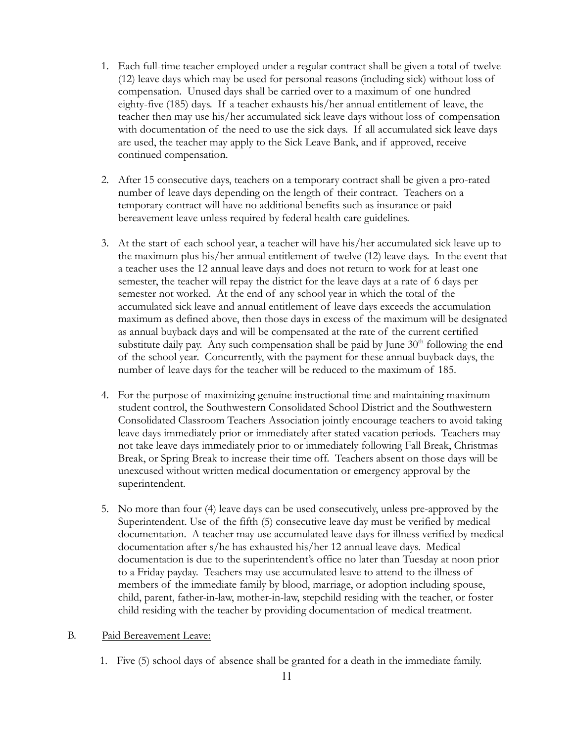- 1. Each full-time teacher employed under a regular contract shall be given a total of twelve (12) leave days which may be used for personal reasons (including sick) without loss of compensation. Unused days shall be carried over to a maximum of one hundred eighty-five (185) days. If a teacher exhausts his/her annual entitlement of leave, the teacher then may use his/her accumulated sick leave days without loss of compensation with documentation of the need to use the sick days. If all accumulated sick leave days are used, the teacher may apply to the Sick Leave Bank, and if approved, receive continued compensation.
- 2. After 15 consecutive days, teachers on a temporary contract shall be given a pro-rated number of leave days depending on the length of their contract. Teachers on a temporary contract will have no additional benefits such as insurance or paid bereavement leave unless required by federal health care guidelines.
- 3. At the start of each school year, a teacher will have his/her accumulated sick leave up to the maximum plus his/her annual entitlement of twelve (12) leave days. In the event that a teacher uses the 12 annual leave days and does not return to work for at least one semester, the teacher will repay the district for the leave days at a rate of 6 days per semester not worked. At the end of any school year in which the total of the accumulated sick leave and annual entitlement of leave days exceeds the accumulation maximum as defined above, then those days in excess of the maximum will be designated as annual buyback days and will be compensated at the rate of the current certified substitute daily pay. Any such compensation shall be paid by June  $30<sup>th</sup>$  following the end of the school year. Concurrently, with the payment for these annual buyback days, the number of leave days for the teacher will be reduced to the maximum of 185.
- 4. For the purpose of maximizing genuine instructional time and maintaining maximum student control, the Southwestern Consolidated School District and the Southwestern Consolidated Classroom Teachers Association jointly encourage teachers to avoid taking leave days immediately prior or immediately after stated vacation periods. Teachers may not take leave days immediately prior to or immediately following Fall Break, Christmas Break, or Spring Break to increase their time off. Teachers absent on those days will be unexcused without written medical documentation or emergency approval by the superintendent.
- 5. No more than four (4) leave days can be used consecutively, unless pre-approved by the Superintendent. Use of the fifth (5) consecutive leave day must be verified by medical documentation. A teacher may use accumulated leave days for illness verified by medical documentation after s/he has exhausted his/her 12 annual leave days. Medical documentation is due to the superintendent's office no later than Tuesday at noon prior to a Friday payday. Teachers may use accumulated leave to attend to the illness of members of the immediate family by blood, marriage, or adoption including spouse, child, parent, father-in-law, mother-in-law, stepchild residing with the teacher, or foster child residing with the teacher by providing documentation of medical treatment.

#### B. Paid Bereavement Leave:

1. Five (5) school days of absence shall be granted for a death in the immediate family.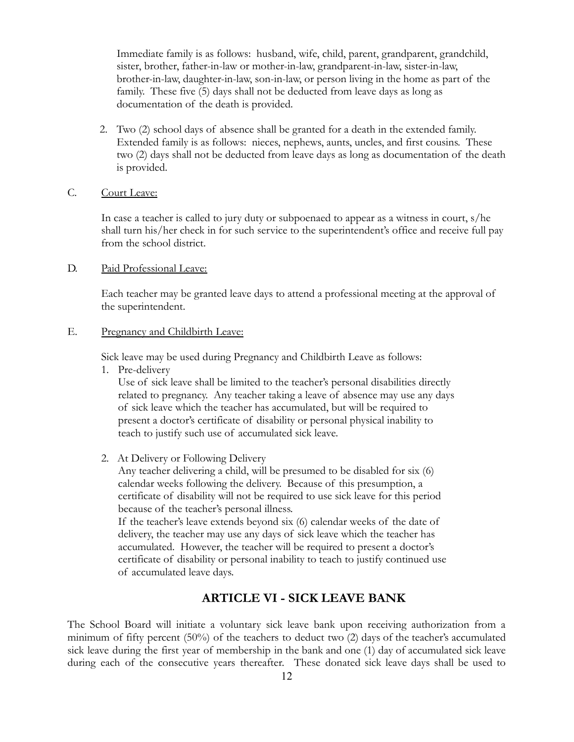Immediate family is as follows: husband, wife, child, parent, grandparent, grandchild, sister, brother, father-in-law or mother-in-law, grandparent-in-law, sister-in-law, brother-in-law, daughter-in-law, son-in-law, or person living in the home as part of the family. These five (5) days shall not be deducted from leave days as long as documentation of the death is provided.

2. Two (2) school days of absence shall be granted for a death in the extended family. Extended family is as follows: nieces, nephews, aunts, uncles, and first cousins. These two (2) days shall not be deducted from leave days as long as documentation of the death is provided.

## C. Court Leave:

In case a teacher is called to jury duty or subpoenaed to appear as a witness in court, s/he shall turn his/her check in for such service to the superintendent's office and receive full pay from the school district.

#### D. Paid Professional Leave:

Each teacher may be granted leave days to attend a professional meeting at the approval of the superintendent.

### E. Pregnancy and Childbirth Leave:

Sick leave may be used during Pregnancy and Childbirth Leave as follows:

1. Pre-delivery

Use of sick leave shall be limited to the teacher's personal disabilities directly related to pregnancy. Any teacher taking a leave of absence may use any days of sick leave which the teacher has accumulated, but will be required to present a doctor's certificate of disability or personal physical inability to teach to justify such use of accumulated sick leave.

2. At Delivery or Following Delivery

Any teacher delivering a child, will be presumed to be disabled for six (6) calendar weeks following the delivery. Because of this presumption, a certificate of disability will not be required to use sick leave for this period because of the teacher's personal illness.

If the teacher's leave extends beyond six (6) calendar weeks of the date of delivery, the teacher may use any days of sick leave which the teacher has accumulated. However, the teacher will be required to present a doctor's certificate of disability or personal inability to teach to justify continued use of accumulated leave days.

## **ARTICLE VI - SICK LEAVE BANK**

The School Board will initiate a voluntary sick leave bank upon receiving authorization from a minimum of fifty percent (50%) of the teachers to deduct two (2) days of the teacher's accumulated sick leave during the first year of membership in the bank and one (1) day of accumulated sick leave during each of the consecutive years thereafter. These donated sick leave days shall be used to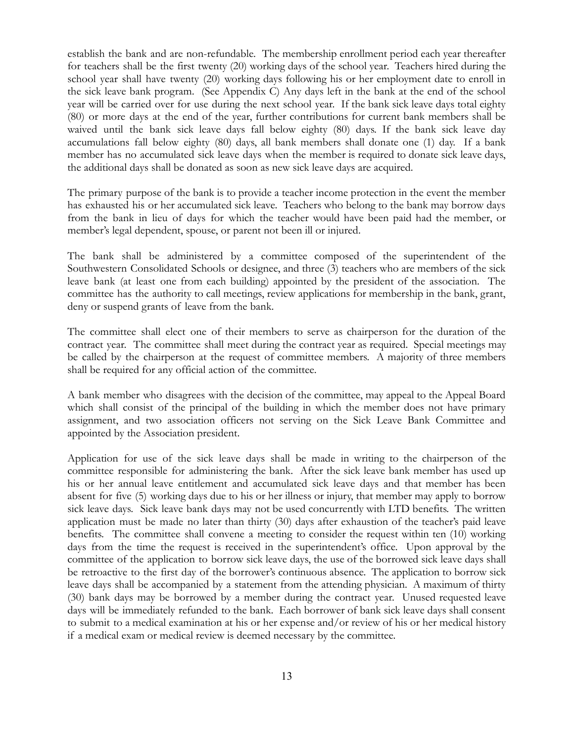establish the bank and are non-refundable. The membership enrollment period each year thereafter for teachers shall be the first twenty (20) working days of the school year. Teachers hired during the school year shall have twenty (20) working days following his or her employment date to enroll in the sick leave bank program. (See Appendix C) Any days left in the bank at the end of the school year will be carried over for use during the next school year. If the bank sick leave days total eighty (80) or more days at the end of the year, further contributions for current bank members shall be waived until the bank sick leave days fall below eighty (80) days. If the bank sick leave day accumulations fall below eighty (80) days, all bank members shall donate one (1) day. If a bank member has no accumulated sick leave days when the member is required to donate sick leave days, the additional days shall be donated as soon as new sick leave days are acquired.

The primary purpose of the bank is to provide a teacher income protection in the event the member has exhausted his or her accumulated sick leave. Teachers who belong to the bank may borrow days from the bank in lieu of days for which the teacher would have been paid had the member, or member's legal dependent, spouse, or parent not been ill or injured.

The bank shall be administered by a committee composed of the superintendent of the Southwestern Consolidated Schools or designee, and three (3) teachers who are members of the sick leave bank (at least one from each building) appointed by the president of the association. The committee has the authority to call meetings, review applications for membership in the bank, grant, deny or suspend grants of leave from the bank.

The committee shall elect one of their members to serve as chairperson for the duration of the contract year. The committee shall meet during the contract year as required. Special meetings may be called by the chairperson at the request of committee members. A majority of three members shall be required for any official action of the committee.

A bank member who disagrees with the decision of the committee, may appeal to the Appeal Board which shall consist of the principal of the building in which the member does not have primary assignment, and two association officers not serving on the Sick Leave Bank Committee and appointed by the Association president.

Application for use of the sick leave days shall be made in writing to the chairperson of the committee responsible for administering the bank. After the sick leave bank member has used up his or her annual leave entitlement and accumulated sick leave days and that member has been absent for five (5) working days due to his or her illness or injury, that member may apply to borrow sick leave days. Sick leave bank days may not be used concurrently with LTD benefits. The written application must be made no later than thirty (30) days after exhaustion of the teacher's paid leave benefits. The committee shall convene a meeting to consider the request within ten (10) working days from the time the request is received in the superintendent's office. Upon approval by the committee of the application to borrow sick leave days, the use of the borrowed sick leave days shall be retroactive to the first day of the borrower's continuous absence. The application to borrow sick leave days shall be accompanied by a statement from the attending physician. A maximum of thirty (30) bank days may be borrowed by a member during the contract year. Unused requested leave days will be immediately refunded to the bank. Each borrower of bank sick leave days shall consent to submit to a medical examination at his or her expense and/or review of his or her medical history if a medical exam or medical review is deemed necessary by the committee.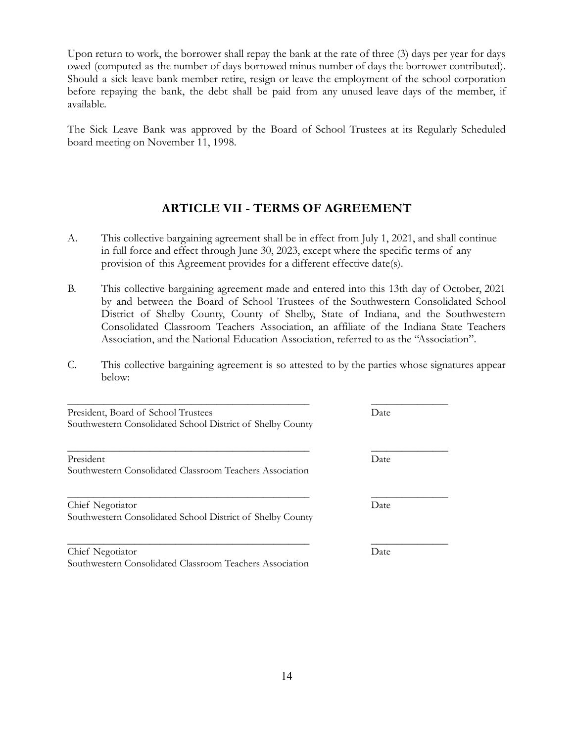Upon return to work, the borrower shall repay the bank at the rate of three (3) days per year for days owed (computed as the number of days borrowed minus number of days the borrower contributed). Should a sick leave bank member retire, resign or leave the employment of the school corporation before repaying the bank, the debt shall be paid from any unused leave days of the member, if available.

The Sick Leave Bank was approved by the Board of School Trustees at its Regularly Scheduled board meeting on November 11, 1998.

## **ARTICLE VII - TERMS OF AGREEMENT**

- A. This collective bargaining agreement shall be in effect from July 1, 2021, and shall continue in full force and effect through June 30, 2023, except where the specific terms of any provision of this Agreement provides for a different effective date(s).
- B. This collective bargaining agreement made and entered into this 13th day of October, 2021 by and between the Board of School Trustees of the Southwestern Consolidated School District of Shelby County, County of Shelby, State of Indiana, and the Southwestern Consolidated Classroom Teachers Association, an affiliate of the Indiana State Teachers Association, and the National Education Association, referred to as the "Association".
- C. This collective bargaining agreement is so attested to by the parties whose signatures appear below:

\_\_\_\_\_\_\_\_\_\_\_\_\_\_\_\_\_\_\_\_\_\_\_\_\_\_\_\_\_\_\_\_\_\_\_\_\_\_\_\_\_\_\_\_\_\_\_ \_\_\_\_\_\_\_\_\_\_\_\_\_\_\_

| President, Board of School Trustees                        | Date |
|------------------------------------------------------------|------|
| Southwestern Consolidated School District of Shelby County |      |

| President                                                | Date |  |
|----------------------------------------------------------|------|--|
| Southwestern Consolidated Classroom Teachers Association |      |  |

Chief Negotiator Date Southwestern Consolidated School District of Shelby County

Chief Negotiator Date Southwestern Consolidated Classroom Teachers Association

\_\_\_\_\_\_\_\_\_\_\_\_\_\_\_\_\_\_\_\_\_\_\_\_\_\_\_\_\_\_\_\_\_\_\_\_\_\_\_\_\_\_\_\_\_\_\_ \_\_\_\_\_\_\_\_\_\_\_\_\_\_\_

\_\_\_\_\_\_\_\_\_\_\_\_\_\_\_\_\_\_\_\_\_\_\_\_\_\_\_\_\_\_\_\_\_\_\_\_\_\_\_\_\_\_\_\_\_\_\_ \_\_\_\_\_\_\_\_\_\_\_\_\_\_\_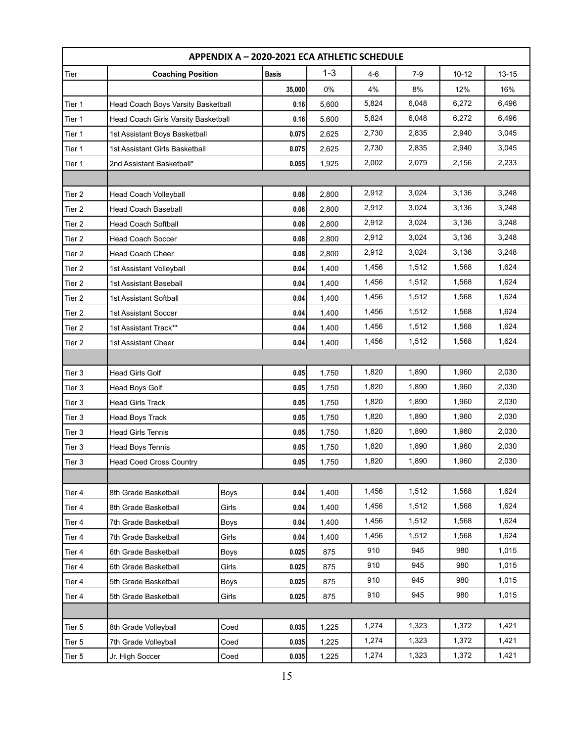| APPENDIX A - 2020-2021 ECA ATHLETIC SCHEDULE |                                     |             |              |         |       |       |           |           |
|----------------------------------------------|-------------------------------------|-------------|--------------|---------|-------|-------|-----------|-----------|
| Tier                                         | <b>Coaching Position</b>            |             | <b>Basis</b> | $1 - 3$ | $4-6$ | $7-9$ | $10 - 12$ | $13 - 15$ |
|                                              |                                     |             | 35,000       | 0%      | 4%    | 8%    | 12%       | 16%       |
| Tier 1                                       | Head Coach Boys Varsity Basketball  |             | 0.16         | 5,600   | 5,824 | 6,048 | 6,272     | 6,496     |
| Tier 1                                       | Head Coach Girls Varsity Basketball |             | 0.16         | 5,600   | 5,824 | 6,048 | 6,272     | 6,496     |
| Tier 1                                       | 1st Assistant Boys Basketball       |             | 0.075        | 2,625   | 2,730 | 2,835 | 2,940     | 3,045     |
| Tier 1                                       | 1st Assistant Girls Basketball      |             | 0.075        | 2,625   | 2,730 | 2,835 | 2,940     | 3,045     |
| Tier 1                                       | 2nd Assistant Basketball*           |             | 0.055        | 1,925   | 2,002 | 2,079 | 2,156     | 2,233     |
|                                              |                                     |             |              |         |       |       |           |           |
| Tier 2                                       | Head Coach Volleyball               |             | 0.08         | 2,800   | 2,912 | 3,024 | 3,136     | 3,248     |
| Tier 2                                       | <b>Head Coach Baseball</b>          |             | 0.08         | 2,800   | 2,912 | 3,024 | 3,136     | 3,248     |
| Tier 2                                       | <b>Head Coach Softball</b>          |             | 0.08         | 2,800   | 2,912 | 3,024 | 3,136     | 3,248     |
| Tier 2                                       | <b>Head Coach Soccer</b>            |             | 0.08         | 2,800   | 2,912 | 3,024 | 3,136     | 3,248     |
| Tier 2                                       | Head Coach Cheer                    |             | 0.08         | 2,800   | 2,912 | 3,024 | 3,136     | 3,248     |
| Tier 2                                       | 1st Assistant Volleyball            |             | 0.04         | 1,400   | 1,456 | 1,512 | 1,568     | 1,624     |
| Tier 2                                       | 1st Assistant Baseball              |             | 0.04         | 1,400   | 1,456 | 1,512 | 1,568     | 1,624     |
| Tier 2                                       | 1st Assistant Softball              |             | 0.04         | 1,400   | 1,456 | 1,512 | 1,568     | 1,624     |
| Tier 2                                       | <b>1st Assistant Soccer</b>         |             | 0.04         | 1,400   | 1,456 | 1,512 | 1,568     | 1,624     |
| Tier 2                                       | 1st Assistant Track**               |             | 0.04         | 1,400   | 1,456 | 1,512 | 1,568     | 1,624     |
| Tier 2                                       | 1st Assistant Cheer                 |             | 0.04         | 1,400   | 1,456 | 1,512 | 1,568     | 1,624     |
|                                              |                                     |             |              |         |       |       |           |           |
| Tier 3                                       | <b>Head Girls Golf</b>              |             | 0.05         | 1,750   | 1,820 | 1,890 | 1,960     | 2,030     |
| Tier 3                                       | Head Boys Golf                      |             | 0.05         | 1,750   | 1,820 | 1,890 | 1,960     | 2,030     |
| Tier 3                                       | <b>Head Girls Track</b>             |             | 0.05         | 1,750   | 1,820 | 1,890 | 1,960     | 2,030     |
| Tier 3                                       | Head Boys Track                     |             | 0.05         | 1,750   | 1,820 | 1,890 | 1,960     | 2,030     |
| Tier 3                                       | <b>Head Girls Tennis</b>            |             | 0.05         | 1,750   | 1,820 | 1,890 | 1,960     | 2,030     |
| Tier 3                                       | Head Boys Tennis                    |             | 0.05         | 1,750   | 1,820 | 1,890 | 1,960     | 2,030     |
| Tier 3                                       | <b>Head Coed Cross Country</b>      |             | 0.05         | 1,750   | 1,820 | 1,890 | 1,960     | 2,030     |
|                                              |                                     |             |              |         |       |       |           |           |
| Tier 4                                       | 8th Grade Basketball                | Boys        | 0.04         | 1,400   | 1,456 | 1,512 | 1,568     | 1,624     |
| Tier 4                                       | 8th Grade Basketball                | Girls       | 0.04         | 1,400   | 1,456 | 1,512 | 1,568     | 1,624     |
| Tier 4                                       | 7th Grade Basketball                | <b>Boys</b> | 0.04         | 1,400   | 1,456 | 1,512 | 1,568     | 1,624     |
| Tier 4                                       | 7th Grade Basketball                | Girls       | 0.04         | 1,400   | 1,456 | 1,512 | 1,568     | 1,624     |
| Tier 4                                       | 6th Grade Basketball                | Boys        | 0.025        | 875     | 910   | 945   | 980       | 1,015     |
| Tier 4                                       | 6th Grade Basketball                | Girls       | 0.025        | 875     | 910   | 945   | 980       | 1,015     |
| Tier 4                                       | 5th Grade Basketball                | Boys        | 0.025        | 875     | 910   | 945   | 980       | 1,015     |
| Tier 4                                       | 5th Grade Basketball                | Girls       | 0.025        | 875     | 910   | 945   | 980       | 1,015     |
|                                              |                                     |             |              |         |       |       |           |           |
| Tier 5                                       | 8th Grade Volleyball                | Coed        | 0.035        | 1,225   | 1,274 | 1,323 | 1,372     | 1,421     |
| Tier 5                                       | 7th Grade Volleyball                | Coed        | 0.035        | 1,225   | 1,274 | 1,323 | 1,372     | 1,421     |
| Tier 5                                       | Jr. High Soccer                     | Coed        | 0.035        | 1,225   | 1,274 | 1,323 | 1,372     | 1,421     |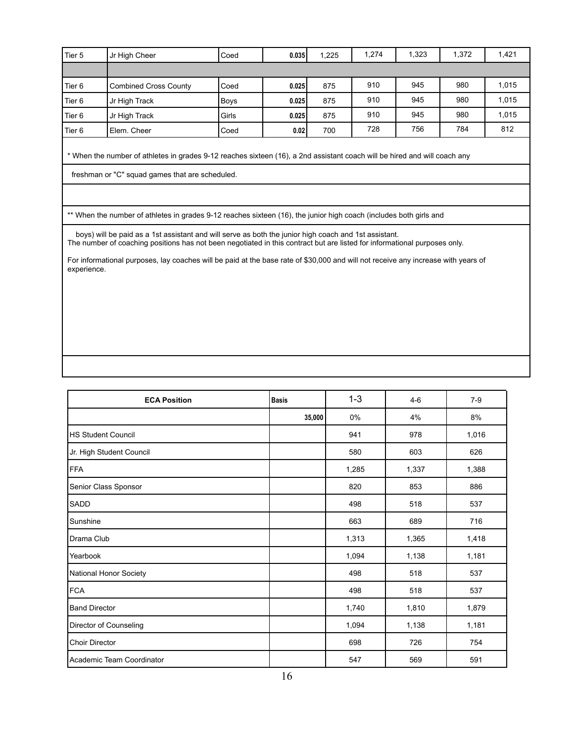| Tier 5 | Jr High Cheer                | Coed        | 0.035 | 1,225 | 1.274 | 1,323 | 1.372 | 1,421 |
|--------|------------------------------|-------------|-------|-------|-------|-------|-------|-------|
|        |                              |             |       |       |       |       |       |       |
| Tier 6 | <b>Combined Cross County</b> | Coed        | 0.025 | 875   | 910   | 945   | 980   | 1,015 |
| Tier 6 | Jr High Track                | <b>Boys</b> | 0.025 | 875   | 910   | 945   | 980   | 1,015 |
| Tier 6 | Jr High Track                | Girls       | 0.025 | 875   | 910   | 945   | 980   | 1,015 |
| Tier 6 | Elem. Cheer                  | Coed        | 0.02  | 700   | 728   | 756   | 784   | 812   |

\* When the number of athletes in grades 9-12 reaches sixteen (16), a 2nd assistant coach will be hired and will coach any

freshman or "C" squad games that are scheduled.

\*\* When the number of athletes in grades 9-12 reaches sixteen (16), the junior high coach (includes both girls and

boys) will be paid as a 1st assistant and will serve as both the junior high coach and 1st assistant. The number of coaching positions has not been negotiated in this contract but are listed for informational purposes only.

For informational purposes, lay coaches will be paid at the base rate of \$30,000 and will not receive any increase with years of experience.

| <b>ECA Position</b>       | <b>Basis</b> | $1 - 3$ | $4-6$ | $7-9$ |
|---------------------------|--------------|---------|-------|-------|
|                           | 35,000       | 0%      | 4%    | 8%    |
| <b>HS Student Council</b> |              | 941     | 978   | 1,016 |
| Jr. High Student Council  |              | 580     | 603   | 626   |
| FFA                       |              | 1,285   | 1,337 | 1,388 |
| Senior Class Sponsor      |              | 820     | 853   | 886   |
| <b>SADD</b>               |              | 498     | 518   | 537   |
| Sunshine                  |              | 663     | 689   | 716   |
| Drama Club                |              | 1,313   | 1,365 | 1,418 |
| Yearbook                  |              | 1,094   | 1,138 | 1,181 |
| National Honor Society    |              | 498     | 518   | 537   |
| FCA                       |              | 498     | 518   | 537   |
| <b>Band Director</b>      |              | 1,740   | 1,810 | 1,879 |
| Director of Counseling    |              | 1,094   | 1,138 | 1,181 |
| <b>Choir Director</b>     |              | 698     | 726   | 754   |
| Academic Team Coordinator |              | 547     | 569   | 591   |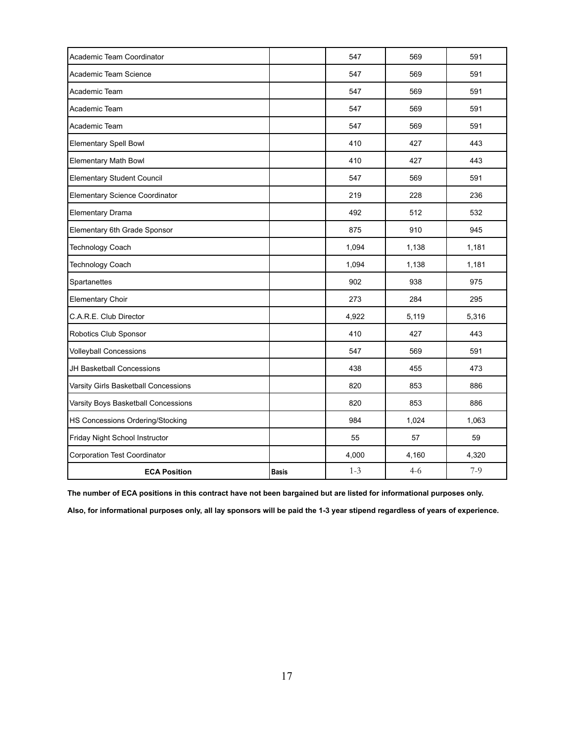| Academic Team Coordinator            |              | 547     | 569     | 591   |
|--------------------------------------|--------------|---------|---------|-------|
| Academic Team Science                |              | 547     | 569     | 591   |
| Academic Team                        |              | 547     | 569     | 591   |
| Academic Team                        |              | 547     | 569     | 591   |
| Academic Team                        |              | 547     | 569     | 591   |
| Elementary Spell Bowl                |              | 410     | 427     | 443   |
| <b>Elementary Math Bowl</b>          |              | 410     | 427     | 443   |
| <b>Elementary Student Council</b>    |              | 547     | 569     | 591   |
| Elementary Science Coordinator       |              | 219     | 228     | 236   |
| Elementary Drama                     |              | 492     | 512     | 532   |
| Elementary 6th Grade Sponsor         |              | 875     | 910     | 945   |
| Technology Coach                     |              | 1,094   | 1,138   | 1,181 |
| Technology Coach                     |              | 1,094   | 1,138   | 1,181 |
| Spartanettes                         |              | 902     | 938     | 975   |
| <b>Elementary Choir</b>              |              | 273     | 284     | 295   |
| C.A.R.E. Club Director               |              | 4,922   | 5,119   | 5,316 |
| Robotics Club Sponsor                |              | 410     | 427     | 443   |
| <b>Volleyball Concessions</b>        |              | 547     | 569     | 591   |
| <b>JH Basketball Concessions</b>     |              | 438     | 455     | 473   |
| Varsity Girls Basketball Concessions |              | 820     | 853     | 886   |
| Varsity Boys Basketball Concessions  |              | 820     | 853     | 886   |
| HS Concessions Ordering/Stocking     |              | 984     | 1,024   | 1,063 |
| Friday Night School Instructor       |              | 55      | 57      | 59    |
| <b>Corporation Test Coordinator</b>  |              | 4,000   | 4,160   | 4,320 |
| <b>ECA Position</b>                  | <b>Basis</b> | $1 - 3$ | $4 - 6$ | $7-9$ |

The number of ECA positions in this contract have not been bargained but are listed for informational purposes only.

Also, for informational purposes only, all lay sponsors will be paid the 1-3 year stipend regardless of years of experience.